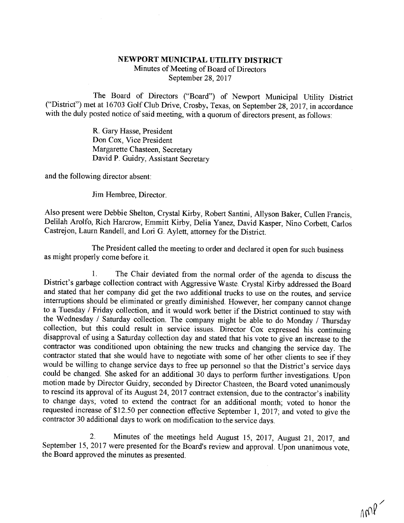## NEWPORT MUNICIPAL UTILITY DISTRICT Minutes of Meeting of Board of Directors September 28, 2017

The Board of Directors ("Board") of Newport Municipal Utility District<br>("District") met at 16703 Golf Club Drive, Crosby, Texas, on September 28, 2017, in accordance<br>with the duly posted notice of said meeting, with a quor

R. Gary Hasse, President Don Cox, Vice President Margarette Chasteen, Secretary David P. Guidry, Assistant Secretary

and the following director absent:

Jim Hembree, Director.

Also present were Debbie Shelton, Crystal Kirby, Robert Santini, Allyson Baker, Cullen Francis, Delilah Arolfo, Rich Harcrow, Emmitt Kirby, Delia Yanez, David Kasper, Nino Corbett, Carlos Castrejon, Laurn Randell, and Lori

The President called the meeting to order and declared it open for such business as might properly come before it.

1. The Chair deviated from the normal order of the agenda to discuss the<br>District's garbage collection contract with Aggressive Waste. Crystal Kirby addressed the Board<br>and stated that her company did get the two additiona

2. Minutes of the meetings held August 15, 2017, August 21, 2017, and September 15, 2017 were presented for the Board's review and approval. Upon unanimous vote, the Board approved the minutes as presented.

 $\sim$  0<sup>/</sup>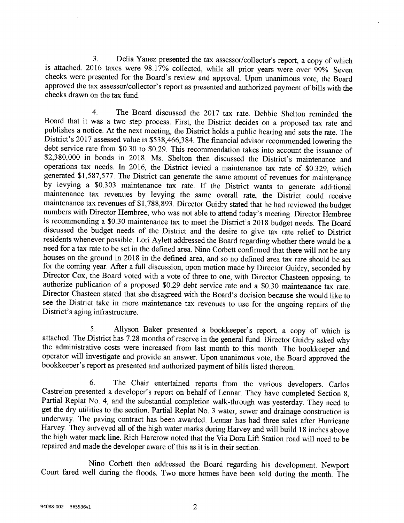3. Delia Yanez presented the tax assessor/collector's report, a copy of which<br>is attached. 2016 taxes were 98.17% collected, while all prior years were over 99%. Seven<br>checks were presented for the Board's review and appro

4. The Board discussed the 2017 tax rate. Debbie Shelton reminded the Board that it was a two step process. First, the District decides on a proposed tax rate and publishes a notice. At the next meeting, the District holds a public hearing and sets the rate. The District's 2017 assessed valu \$2,380,000 in bonds in 2018. Ms. Shelton then discussed the District's maintenance and operations tax needs. In 2016, the District levied a maintenance tax rate of \$0.329, which operations tax needs. In 2016, the District levied a maintenance tax rate of \$0.329, which<br>generated \$1,587,577. The District can generate the same amount of revenues for maintenance<br>by levying a \$0.303 maintenance tax red

5. Allyson Baker presented a bookkeeper's report, a copy of which is attached. The District has 7.28 months of reserve in the general fund. Director Guidry asked why the administrative costs were increased from last month

6. The Chair entertained reports from the various developers. Carlos Castrejon presented a developer's report on behalf of Lennar. They have completed Section 8, Partial Replat No. 4, and the substantial completion walk-th

Nino Corbett then addressed the Board regarding his development. Newport Court fared well during the floods. Two more homes have been sold during the month. The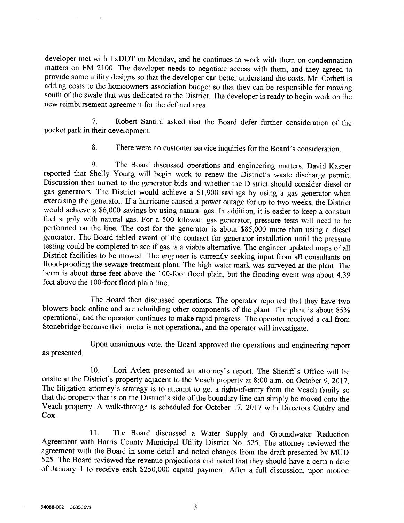developer met with TxDOT on Monday, and he continues to work with them on condemnation matters on FM 2100. The developer needs to negotiate access with them, and they agreed to provide some utility designs so that the developer can better understand the costs. Mr. Corbett is adding costs to the homeowners association budget so that they can be responsible for mowing south of the swale that was de

7. Robert Santini asked that the Board defer further consideration of the pocket park in their development.

8. There were no customer service inquiries for the Board's consideration.

9. The Board discussed operations and engineering matters. David Kasper<br>reported that Shelly Young will begin work to renew the District's waste discharge permit.<br>Discussion then turned to the generator bids and whether t

The Board then discussed operations. The operator reported that they have two<br>blowers back online and are rebuilding other components of the plant. The plant is about 85%<br>operational, and the operator continues to make rap

as presented. Upon unanimous vote, the Board approved the operations and engineering report

10. Lori Aylett presented an attorney's report. The Sheriff's Office will be onsite at the District's property adjacent to the Veach property at 8:00 a.m. on October 9, 2017. The litigation attorney's strategy is to attemp

11. The Board discussed a Water Supply and Groundwater Reduction<br>Agreement with Harris County Municipal Utility District No. 525. The attorney reviewed the<br>agreement with the Board in some detail and noted changes from the of January 1 to receive each \$250,000 capital payment. After a full discussion, upon motion